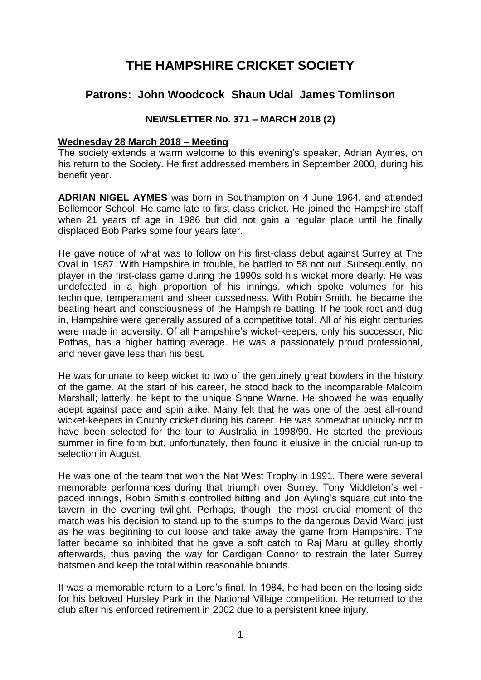# **THE HAMPSHIRE CRICKET SOCIETY**

# **Patrons: John Woodcock Shaun Udal James Tomlinson**

### **NEWSLETTER No. 371 – MARCH 2018 (2)**

### **Wednesday 28 March 2018 – Meeting**

The society extends a warm welcome to this evening's speaker, Adrian Aymes, on his return to the Society. He first addressed members in September 2000, during his benefit year.

**ADRIAN NIGEL AYMES** was born in Southampton on 4 June 1964, and attended Bellemoor School. He came late to first-class cricket. He joined the Hampshire staff when 21 years of age in 1986 but did not gain a regular place until he finally displaced Bob Parks some four years later.

He gave notice of what was to follow on his first-class debut against Surrey at The Oval in 1987. With Hampshire in trouble, he battled to 58 not out. Subsequently, no player in the first-class game during the 1990s sold his wicket more dearly. He was undefeated in a high proportion of his innings, which spoke volumes for his technique, temperament and sheer cussedness. With Robin Smith, he became the beating heart and consciousness of the Hampshire batting. If he took root and dug in, Hampshire were generally assured of a competitive total. All of his eight centuries were made in adversity. Of all Hampshire's wicket-keepers, only his successor, Nic Pothas, has a higher batting average. He was a passionately proud professional, and never gave less than his best.

He was fortunate to keep wicket to two of the genuinely great bowlers in the history of the game. At the start of his career, he stood back to the incomparable Malcolm Marshall; latterly, he kept to the unique Shane Warne. He showed he was equally adept against pace and spin alike. Many felt that he was one of the best all-round wicket-keepers in County cricket during his career. He was somewhat unlucky not to have been selected for the tour to Australia in 1998/99. He started the previous summer in fine form but, unfortunately, then found it elusive in the crucial run-up to selection in August.

He was one of the team that won the Nat West Trophy in 1991. There were several memorable performances during that triumph over Surrey: Tony Middleton's wellpaced innings, Robin Smith's controlled hitting and Jon Ayling's square cut into the tavern in the evening twilight. Perhaps, though, the most crucial moment of the match was his decision to stand up to the stumps to the dangerous David Ward just as he was beginning to cut loose and take away the game from Hampshire. The latter became so inhibited that he gave a soft catch to Raj Maru at gulley shortly afterwards, thus paving the way for Cardigan Connor to restrain the later Surrey batsmen and keep the total within reasonable bounds.

It was a memorable return to a Lord's final. In 1984, he had been on the losing side for his beloved Hursley Park in the National Village competition. He returned to the club after his enforced retirement in 2002 due to a persistent knee injury.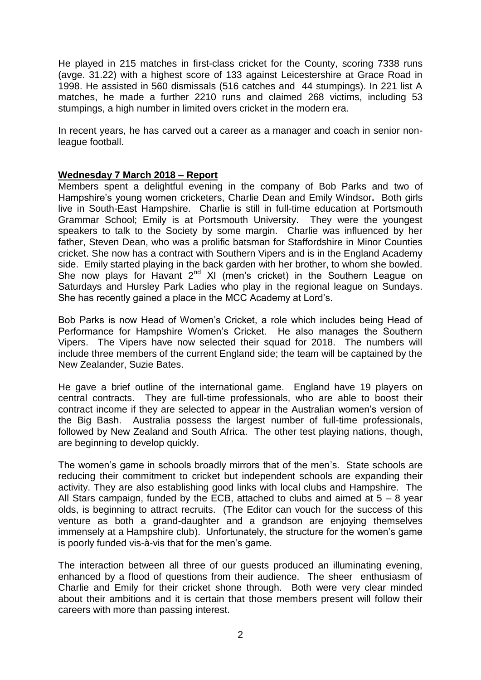He played in 215 matches in first-class cricket for the County, scoring 7338 runs (avge. 31.22) with a highest score of 133 against Leicestershire at Grace Road in 1998. He assisted in 560 dismissals (516 catches and 44 stumpings). In 221 list A matches, he made a further 2210 runs and claimed 268 victims, including 53 stumpings, a high number in limited overs cricket in the modern era.

In recent years, he has carved out a career as a manager and coach in senior nonleague football.

### **Wednesday 7 March 2018 – Report**

Members spent a delightful evening in the company of Bob Parks and two of Hampshire's young women cricketers, Charlie Dean and Emily Windsor**.** Both girls live in South-East Hampshire. Charlie is still in full-time education at Portsmouth Grammar School; Emily is at Portsmouth University. They were the youngest speakers to talk to the Society by some margin. Charlie was influenced by her father, Steven Dean, who was a prolific batsman for Staffordshire in Minor Counties cricket. She now has a contract with Southern Vipers and is in the England Academy side. Emily started playing in the back garden with her brother, to whom she bowled. She now plays for Havant  $2^{nd}$  XI (men's cricket) in the Southern League on Saturdays and Hursley Park Ladies who play in the regional league on Sundays. She has recently gained a place in the MCC Academy at Lord's.

Bob Parks is now Head of Women's Cricket, a role which includes being Head of Performance for Hampshire Women's Cricket. He also manages the Southern Vipers. The Vipers have now selected their squad for 2018. The numbers will include three members of the current England side; the team will be captained by the New Zealander, Suzie Bates.

He gave a brief outline of the international game. England have 19 players on central contracts. They are full-time professionals, who are able to boost their contract income if they are selected to appear in the Australian women's version of the Big Bash. Australia possess the largest number of full-time professionals, followed by New Zealand and South Africa. The other test playing nations, though, are beginning to develop quickly.

The women's game in schools broadly mirrors that of the men's. State schools are reducing their commitment to cricket but independent schools are expanding their activity. They are also establishing good links with local clubs and Hampshire. The All Stars campaign, funded by the ECB, attached to clubs and aimed at  $5 - 8$  year olds, is beginning to attract recruits. (The Editor can vouch for the success of this venture as both a grand-daughter and a grandson are enjoying themselves immensely at a Hampshire club). Unfortunately, the structure for the women's game is poorly funded vis-à-vis that for the men's game.

The interaction between all three of our guests produced an illuminating evening, enhanced by a flood of questions from their audience. The sheer enthusiasm of Charlie and Emily for their cricket shone through. Both were very clear minded about their ambitions and it is certain that those members present will follow their careers with more than passing interest.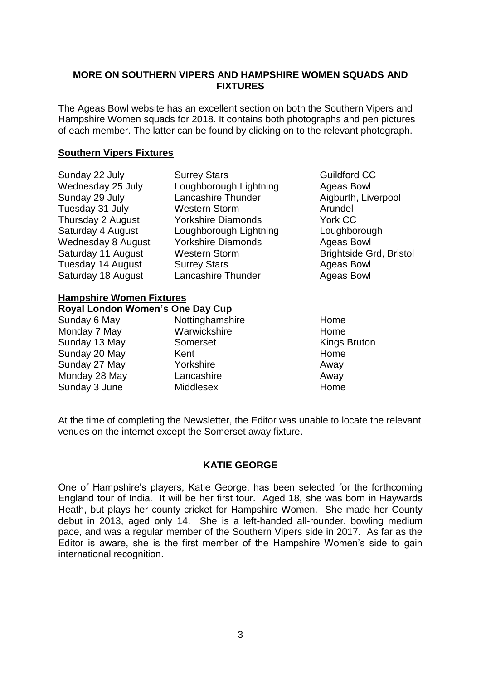### **MORE ON SOUTHERN VIPERS AND HAMPSHIRE WOMEN SQUADS AND FIXTURES**

The Ageas Bowl website has an excellent section on both the Southern Vipers and Hampshire Women squads for 2018. It contains both photographs and pen pictures of each member. The latter can be found by clicking on to the relevant photograph.

### **Southern Vipers Fixtures**

| Sunday 22 July                  | <b>Surrey Stars</b>       | <b>Guildford CC</b>            |
|---------------------------------|---------------------------|--------------------------------|
| Wednesday 25 July               | Loughborough Lightning    | Ageas Bowl                     |
| Sunday 29 July                  | Lancashire Thunder        | Aigburth, Liverpool            |
| Tuesday 31 July                 | <b>Western Storm</b>      | Arundel                        |
| Thursday 2 August               | <b>Yorkshire Diamonds</b> | York CC                        |
| Saturday 4 August               | Loughborough Lightning    | Loughborough                   |
| Wednesday 8 August              | <b>Yorkshire Diamonds</b> | <b>Ageas Bowl</b>              |
| Saturday 11 August              | <b>Western Storm</b>      | <b>Brightside Grd, Bristol</b> |
| Tuesday 14 August               | <b>Surrey Stars</b>       | <b>Ageas Bowl</b>              |
| Saturday 18 August              | Lancashire Thunder        | Ageas Bowl                     |
| <b>Hampshire Women Fixtures</b> |                           |                                |

| Royal London Women's One Day Cup |                  |                     |  |
|----------------------------------|------------------|---------------------|--|
| Sunday 6 May                     | Nottinghamshire  | Home                |  |
| Monday 7 May                     | Warwickshire     | Home                |  |
| Sunday 13 May                    | Somerset         | <b>Kings Bruton</b> |  |
| Sunday 20 May                    | Kent             | Home                |  |
| Sunday 27 May                    | Yorkshire        | Away                |  |
| Monday 28 May                    | Lancashire       | Away                |  |
| Sunday 3 June                    | <b>Middlesex</b> | Home                |  |
|                                  |                  |                     |  |

At the time of completing the Newsletter, the Editor was unable to locate the relevant venues on the internet except the Somerset away fixture.

### **KATIE GEORGE**

One of Hampshire's players, Katie George, has been selected for the forthcoming England tour of India. It will be her first tour. Aged 18, she was born in Haywards Heath, but plays her county cricket for Hampshire Women. She made her County debut in 2013, aged only 14. She is a left-handed all-rounder, bowling medium pace, and was a regular member of the Southern Vipers side in 2017. As far as the Editor is aware, she is the first member of the Hampshire Women's side to gain international recognition.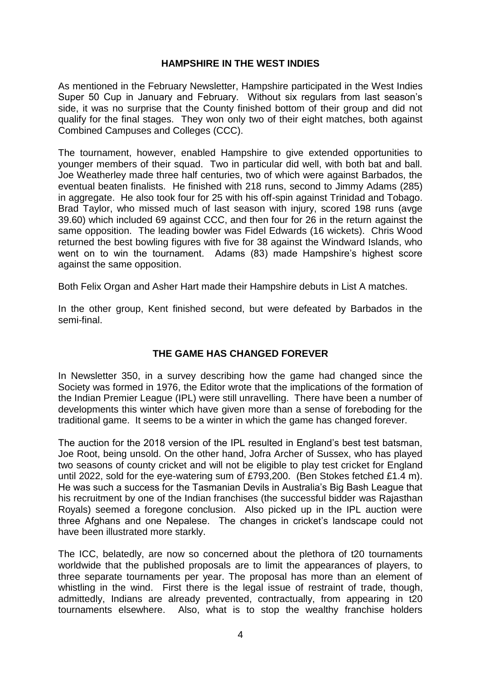### **HAMPSHIRE IN THE WEST INDIES**

As mentioned in the February Newsletter, Hampshire participated in the West Indies Super 50 Cup in January and February. Without six regulars from last season's side, it was no surprise that the County finished bottom of their group and did not qualify for the final stages. They won only two of their eight matches, both against Combined Campuses and Colleges (CCC).

The tournament, however, enabled Hampshire to give extended opportunities to younger members of their squad. Two in particular did well, with both bat and ball. Joe Weatherley made three half centuries, two of which were against Barbados, the eventual beaten finalists. He finished with 218 runs, second to Jimmy Adams (285) in aggregate. He also took four for 25 with his off-spin against Trinidad and Tobago. Brad Taylor, who missed much of last season with injury, scored 198 runs (avge 39.60) which included 69 against CCC, and then four for 26 in the return against the same opposition. The leading bowler was Fidel Edwards (16 wickets). Chris Wood returned the best bowling figures with five for 38 against the Windward Islands, who went on to win the tournament. Adams (83) made Hampshire's highest score against the same opposition.

Both Felix Organ and Asher Hart made their Hampshire debuts in List A matches.

In the other group, Kent finished second, but were defeated by Barbados in the semi-final.

### **THE GAME HAS CHANGED FOREVER**

In Newsletter 350, in a survey describing how the game had changed since the Society was formed in 1976, the Editor wrote that the implications of the formation of the Indian Premier League (IPL) were still unravelling. There have been a number of developments this winter which have given more than a sense of foreboding for the traditional game. It seems to be a winter in which the game has changed forever.

The auction for the 2018 version of the IPL resulted in England's best test batsman, Joe Root, being unsold. On the other hand, Jofra Archer of Sussex, who has played two seasons of county cricket and will not be eligible to play test cricket for England until 2022, sold for the eye-watering sum of £793,200. (Ben Stokes fetched £1.4 m). He was such a success for the Tasmanian Devils in Australia's Big Bash League that his recruitment by one of the Indian franchises (the successful bidder was Rajasthan Royals) seemed a foregone conclusion. Also picked up in the IPL auction were three Afghans and one Nepalese. The changes in cricket's landscape could not have been illustrated more starkly.

The ICC, belatedly, are now so concerned about the plethora of t20 tournaments worldwide that the published proposals are to limit the appearances of players, to three separate tournaments per year. The proposal has more than an element of whistling in the wind. First there is the legal issue of restraint of trade, though, admittedly, Indians are already prevented, contractually, from appearing in t20 tournaments elsewhere. Also, what is to stop the wealthy franchise holders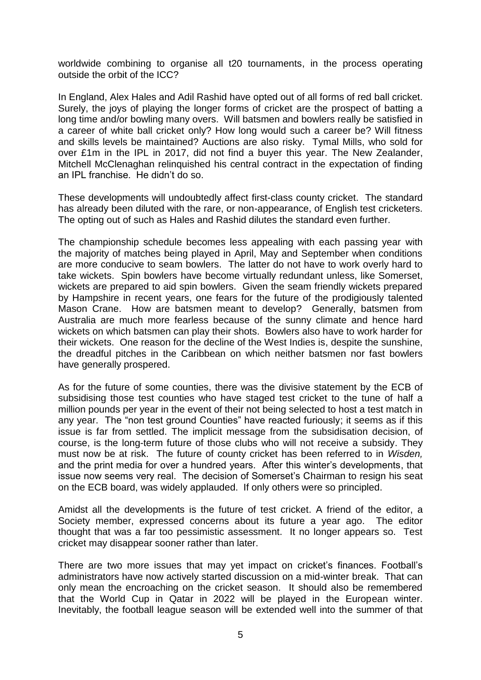worldwide combining to organise all t20 tournaments, in the process operating outside the orbit of the ICC?

In England, Alex Hales and Adil Rashid have opted out of all forms of red ball cricket. Surely, the joys of playing the longer forms of cricket are the prospect of batting a long time and/or bowling many overs. Will batsmen and bowlers really be satisfied in a career of white ball cricket only? How long would such a career be? Will fitness and skills levels be maintained? Auctions are also risky. Tymal Mills, who sold for over £1m in the IPL in 2017, did not find a buyer this year. The New Zealander, Mitchell McClenaghan relinquished his central contract in the expectation of finding an IPL franchise. He didn't do so.

These developments will undoubtedly affect first-class county cricket. The standard has already been diluted with the rare, or non-appearance, of English test cricketers. The opting out of such as Hales and Rashid dilutes the standard even further.

The championship schedule becomes less appealing with each passing year with the majority of matches being played in April, May and September when conditions are more conducive to seam bowlers. The latter do not have to work overly hard to take wickets. Spin bowlers have become virtually redundant unless, like Somerset, wickets are prepared to aid spin bowlers. Given the seam friendly wickets prepared by Hampshire in recent years, one fears for the future of the prodigiously talented Mason Crane. How are batsmen meant to develop? Generally, batsmen from Australia are much more fearless because of the sunny climate and hence hard wickets on which batsmen can play their shots. Bowlers also have to work harder for their wickets. One reason for the decline of the West Indies is, despite the sunshine, the dreadful pitches in the Caribbean on which neither batsmen nor fast bowlers have generally prospered.

As for the future of some counties, there was the divisive statement by the ECB of subsidising those test counties who have staged test cricket to the tune of half a million pounds per year in the event of their not being selected to host a test match in any year. The "non test ground Counties" have reacted furiously; it seems as if this issue is far from settled. The implicit message from the subsidisation decision, of course, is the long-term future of those clubs who will not receive a subsidy. They must now be at risk. The future of county cricket has been referred to in *Wisden,* and the print media for over a hundred years. After this winter's developments, that issue now seems very real. The decision of Somerset's Chairman to resign his seat on the ECB board, was widely applauded. If only others were so principled.

Amidst all the developments is the future of test cricket. A friend of the editor, a Society member, expressed concerns about its future a year ago. The editor thought that was a far too pessimistic assessment. It no longer appears so. Test cricket may disappear sooner rather than later.

There are two more issues that may yet impact on cricket's finances. Football's administrators have now actively started discussion on a mid-winter break. That can only mean the encroaching on the cricket season. It should also be remembered that the World Cup in Qatar in 2022 will be played in the European winter. Inevitably, the football league season will be extended well into the summer of that